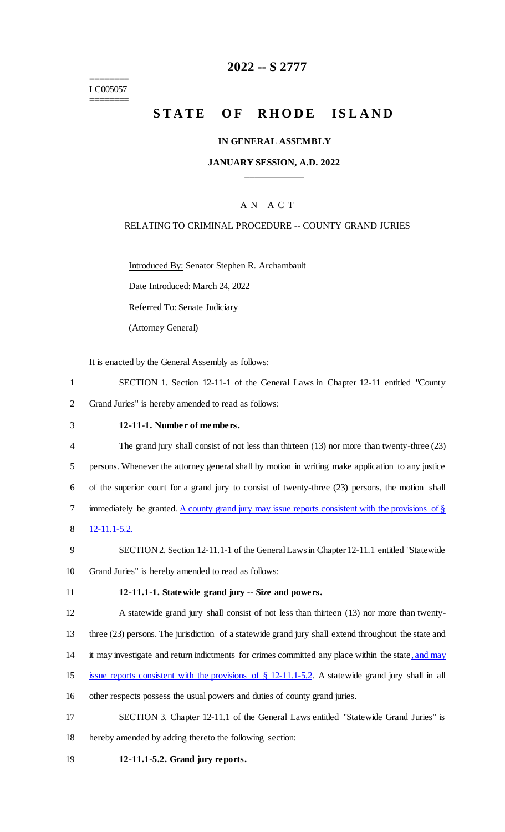======== LC005057 ========

# **2022 -- S 2777**

# **STATE OF RHODE ISLAND**

#### **IN GENERAL ASSEMBLY**

### **JANUARY SESSION, A.D. 2022 \_\_\_\_\_\_\_\_\_\_\_\_**

### A N A C T

### RELATING TO CRIMINAL PROCEDURE -- COUNTY GRAND JURIES

Introduced By: Senator Stephen R. Archambault

Date Introduced: March 24, 2022

Referred To: Senate Judiciary

(Attorney General)

It is enacted by the General Assembly as follows:

- 1 SECTION 1. Section 12-11-1 of the General Laws in Chapter 12-11 entitled "County 2 Grand Juries" is hereby amended to read as follows:
- 

## 3 **12-11-1. Number of members.**

- 4 The grand jury shall consist of not less than thirteen (13) nor more than twenty-three (23) 5 persons. Whenever the attorney general shall by motion in writing make application to any justice 6 of the superior court for a grand jury to consist of twenty-three (23) persons, the motion shall 7 immediately be granted. A county grand jury may issue reports consistent with the provisions of § 8 12-11.1-5.2.
- 9 SECTION 2. Section 12-11.1-1 of the General Laws in Chapter 12-11.1 entitled "Statewide 10 Grand Juries" is hereby amended to read as follows:
- 

#### 11 **12-11.1-1. Statewide grand jury -- Size and powers.**

12 A statewide grand jury shall consist of not less than thirteen (13) nor more than twenty-

13 three (23) persons. The jurisdiction of a statewide grand jury shall extend throughout the state and

- 14 it may investigate and return indictments for crimes committed any place within the state, and may
- 15 issue reports consistent with the provisions of § 12-11.1-5.2. A statewide grand jury shall in all
- 16 other respects possess the usual powers and duties of county grand juries.
- 17 SECTION 3. Chapter 12-11.1 of the General Laws entitled "Statewide Grand Juries" is 18 hereby amended by adding thereto the following section:
- 19 **12-11.1-5.2. Grand jury reports.**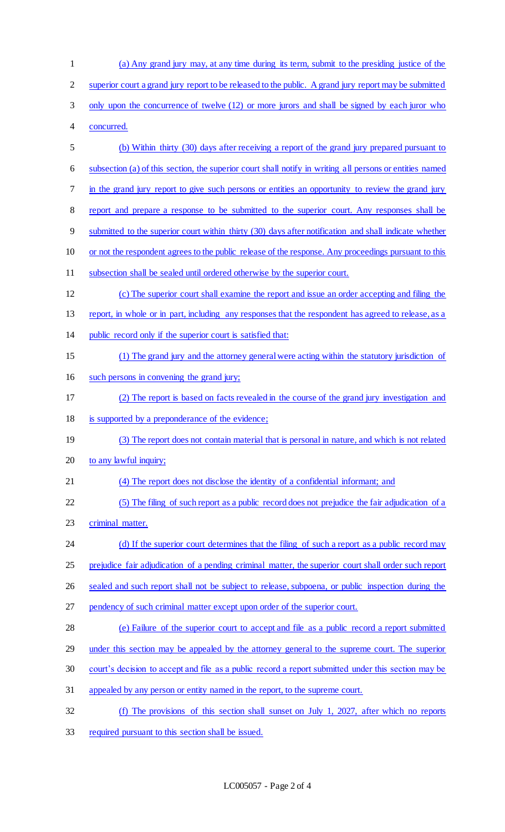| $\mathbf{1}$ | (a) Any grand jury may, at any time during its term, submit to the presiding justice of the              |
|--------------|----------------------------------------------------------------------------------------------------------|
| 2            | superior court a grand jury report to be released to the public. A grand jury report may be submitted    |
| 3            | only upon the concurrence of twelve (12) or more jurors and shall be signed by each juror who            |
| 4            | concurred.                                                                                               |
| 5            | (b) Within thirty (30) days after receiving a report of the grand jury prepared pursuant to              |
| 6            | subsection (a) of this section, the superior court shall notify in writing all persons or entities named |
| 7            | in the grand jury report to give such persons or entities an opportunity to review the grand jury        |
| 8            | report and prepare a response to be submitted to the superior court. Any responses shall be              |
| 9            | submitted to the superior court within thirty (30) days after notification and shall indicate whether    |
| 10           | or not the respondent agrees to the public release of the response. Any proceedings pursuant to this     |
| 11           | subsection shall be sealed until ordered otherwise by the superior court.                                |
| 12           | (c) The superior court shall examine the report and issue an order accepting and filing the              |
| 13           | report, in whole or in part, including any responses that the respondent has agreed to release, as a     |
| 14           | public record only if the superior court is satisfied that:                                              |
| 15           | (1) The grand jury and the attorney general were acting within the statutory jurisdiction of             |
| 16           | such persons in convening the grand jury;                                                                |
| 17           | (2) The report is based on facts revealed in the course of the grand jury investigation and              |
| 18           | is supported by a preponderance of the evidence;                                                         |
| 19           | (3) The report does not contain material that is personal in nature, and which is not related            |
| 20           | to any lawful inquiry;                                                                                   |
| 21           | (4) The report does not disclose the identity of a confidential informant; and                           |
| 22           | (5) The filing of such report as a public record does not prejudice the fair adjudication of a           |
| 23           | criminal matter.                                                                                         |
| 24           | (d) If the superior court determines that the filing of such a report as a public record may             |
| 25           | prejudice fair adjudication of a pending criminal matter, the superior court shall order such report     |
| 26           | sealed and such report shall not be subject to release, subpoena, or public inspection during the        |
| 27           | pendency of such criminal matter except upon order of the superior court.                                |
| 28           | (e) Failure of the superior court to accept and file as a public record a report submitted               |
| 29           | under this section may be appealed by the attorney general to the supreme court. The superior            |
| 30           | court's decision to accept and file as a public record a report submitted under this section may be      |
| 31           | appealed by any person or entity named in the report, to the supreme court.                              |
| 32           | (f) The provisions of this section shall sunset on July 1, 2027, after which no reports                  |
| 33           | required pursuant to this section shall be issued.                                                       |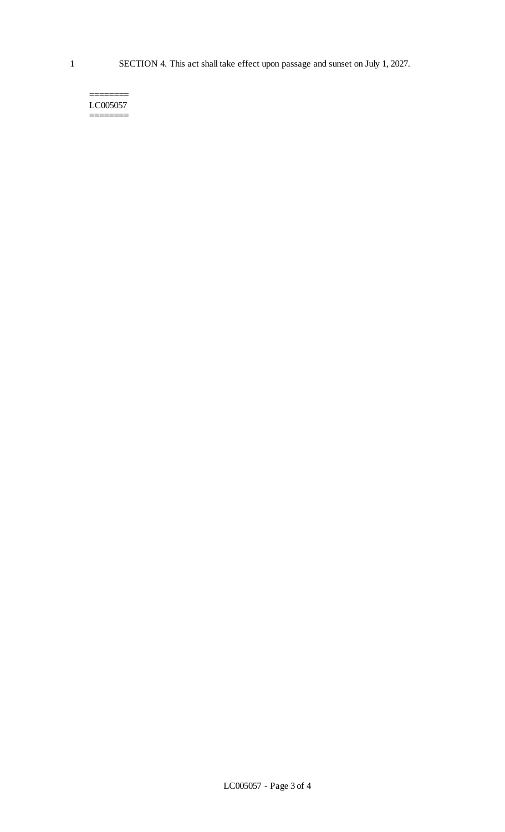======== LC005057 ========